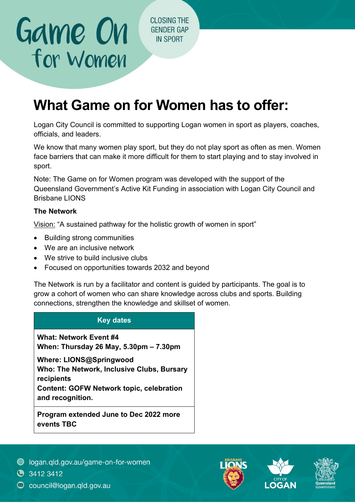**CLOSING THE GENDER GAP IN SPORT** 

## **What Game on for Women has to offer:**

Logan City Council is committed to supporting Logan women in sport as players, coaches, officials, and leaders.

We know that many women play sport, but they do not play sport as often as men. Women face barriers that can make it more difficult for them to start playing and to stay involved in sport.

Note: The Game on for Women program was developed with the support of the Queensland Government's Active Kit Funding in association with Logan City Council and Brisbane LIONS

## **The Network**

Game On

for Women

Vision: "A sustained pathway for the holistic growth of women in sport"

- Building strong communities
- We are an inclusive network
- We strive to build inclusive clubs
- Focused on opportunities towards 2032 and beyond

 The Network is run by a facilitator and content is guided by participants. The goal is to grow a cohort of women who can share knowledge across clubs and sports. Building connections, strengthen the knowledge and skillset of women.

## **Key dates**

 **When: Thursday 26 May, 5.30pm – 7.30pm What: Network Event #4** 

**Where: LIONS@Springwood Who: The Network, Inclusive Clubs, Bursary recipients Content: GOFW Network topic, celebration and recognition.** 

**Program extended June to Dec 2022 more events TBC** 



 $\bullet$  3412 3412